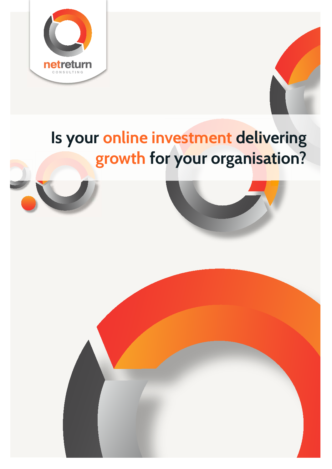



## **Is your online investment delivering growth for your organisation?**